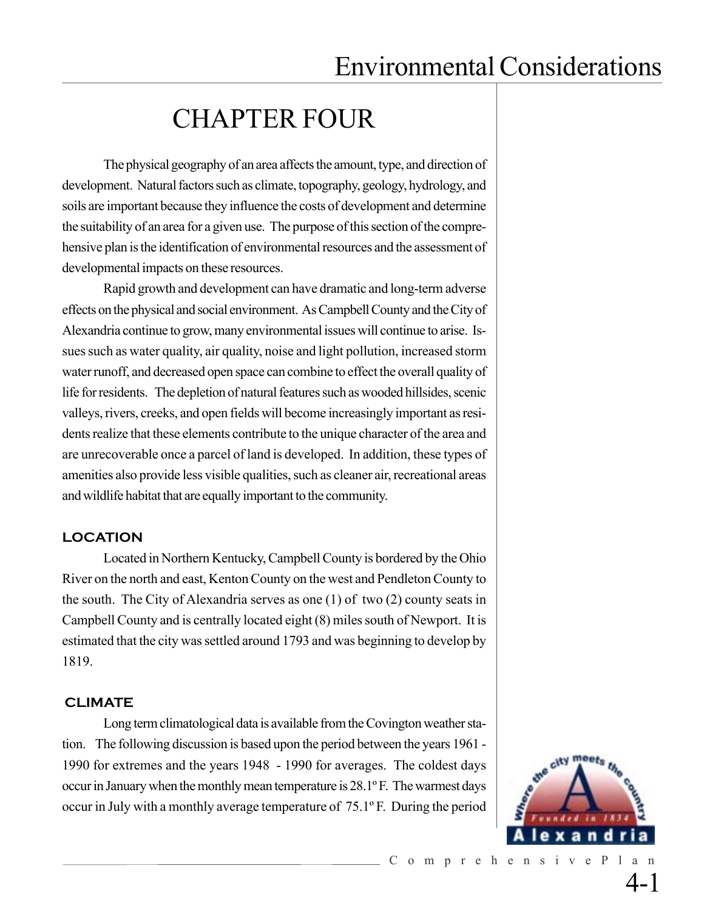# CHAPTER FOUR

The physical geography of an area affects the amount, type, and direction of development. Natural factors such as climate, topography, geology, hydrology, and soils are important because they influence the costs of development and determine the suitability of an area for a given use. The purpose of this section of the comprehensive plan is the identification of environmental resources and the assessment of developmental impacts on these resources.

Rapid growth and development can have dramatic and long-term adverse effects on the physical and social environment. As Campbell County and the City of Alexandria continue to grow, many environmental issues will continue to arise. Issues such as water quality, air quality, noise and light pollution, increased storm water runoff, and decreased open space can combine to effect the overall quality of life for residents. The depletion of natural features such as wooded hillsides, scenic valleys, rivers, creeks, and open fields will become increasingly important as residents realize that these elements contribute to the unique character of the area and are unrecoverable once a parcel of land is developed. In addition, these types of amenities also provide less visible qualities, such as cleaner air, recreational areas and wildlife habitat that are equally important to the community.

### **LOCATION**

Located in Northern Kentucky, Campbell County is bordered by the Ohio River on the north and east, Kenton County on the west and Pendleton County to the south. The City of Alexandria serves as one (1) of two (2) county seats in Campbell County and is centrally located eight (8) miles south of Newport. It is estimated that the city was settled around 1793 and was beginning to develop by 1819.

### **CLIMATE**

Long term climatological data is available from the Covington weather station. The following discussion is based upon the period between the years 1961 - 1990 for extremes and the years 1948 - 1990 for averages. The coldest days occur in January when the monthly mean temperature is 28.1º F. The warmest days occur in July with a monthly average temperature of 75.1º F. During the period



4-1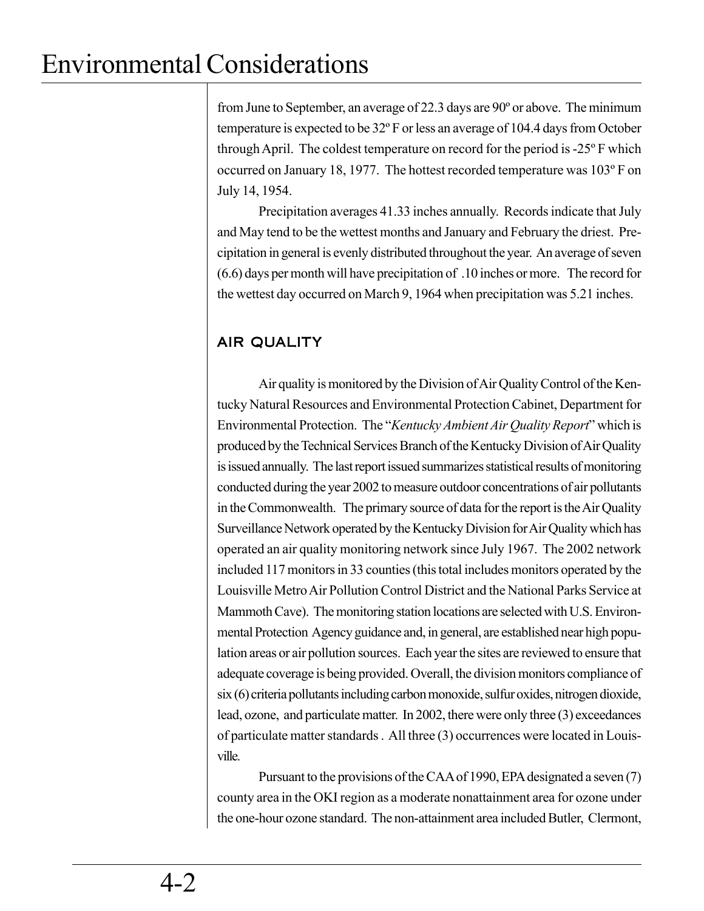from June to September, an average of 22.3 days are 90º or above. The minimum temperature is expected to be 32º F or less an average of 104.4 days from October through April. The coldest temperature on record for the period is -25º F which occurred on January 18, 1977. The hottest recorded temperature was 103º F on July 14, 1954.

Precipitation averages 41.33 inches annually. Records indicate that July and May tend to be the wettest months and January and February the driest. Precipitation in general is evenly distributed throughout the year. An average of seven (6.6) days per month will have precipitation of .10 inches or more. The record for the wettest day occurred on March 9, 1964 when precipitation was 5.21 inches.

# AIR QUALITY

Air quality is monitored by the Division of Air Quality Control of the Kentucky Natural Resources and Environmental Protection Cabinet, Department for Environmental Protection. The "*Kentucky Ambient Air Quality Report*" which is produced by the Technical Services Branch of the Kentucky Division of Air Quality is issued annually. The last report issued summarizes statistical results of monitoring conducted during the year 2002 to measure outdoor concentrations of air pollutants in the Commonwealth. The primary source of data for the report is the Air Quality Surveillance Network operated by the Kentucky Division for Air Quality which has operated an air quality monitoring network since July 1967. The 2002 network included 117 monitors in 33 counties (this total includes monitors operated by the Louisville Metro Air Pollution Control District and the National Parks Service at Mammoth Cave). The monitoring station locations are selected with U.S. Environmental Protection Agency guidance and, in general, are established near high population areas or air pollution sources. Each year the sites are reviewed to ensure that adequate coverage is being provided. Overall, the division monitors compliance of six (6) criteria pollutants including carbon monoxide, sulfur oxides, nitrogen dioxide, lead, ozone, and particulate matter. In 2002, there were only three (3) exceedances of particulate matter standards . All three (3) occurrences were located in Louisville.

Pursuant to the provisions of the CAA of 1990, EPA designated a seven (7) county area in the OKI region as a moderate nonattainment area for ozone under the one-hour ozone standard. The non-attainment area included Butler, Clermont,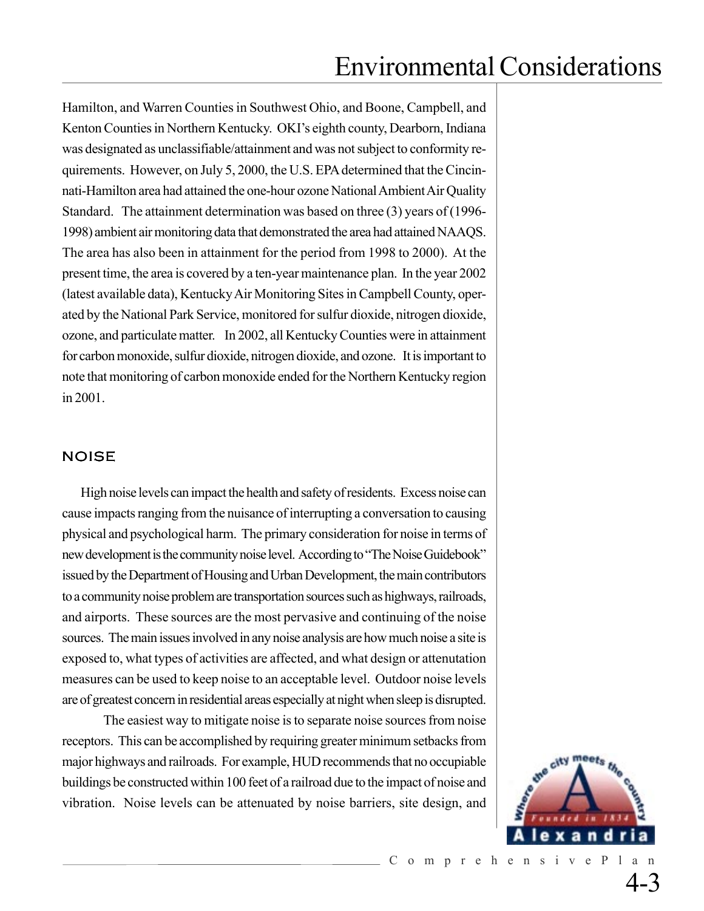Hamilton, and Warren Counties in Southwest Ohio, and Boone, Campbell, and Kenton Counties in Northern Kentucky. OKI's eighth county, Dearborn, Indiana was designated as unclassifiable/attainment and was not subject to conformity requirements. However, on July 5, 2000, the U.S. EPA determined that the Cincinnati-Hamilton area had attained the one-hour ozone National Ambient Air Quality Standard. The attainment determination was based on three (3) years of (1996- 1998) ambient air monitoring data that demonstrated the area had attained NAAQS. The area has also been in attainment for the period from 1998 to 2000). At the present time, the area is covered by a ten-year maintenance plan. In the year 2002 (latest available data), Kentucky Air Monitoring Sites in Campbell County, operated by the National Park Service, monitored for sulfur dioxide, nitrogen dioxide, ozone, and particulate matter. In 2002, all Kentucky Counties were in attainment for carbon monoxide, sulfur dioxide, nitrogen dioxide, and ozone. It is important to note that monitoring of carbon monoxide ended for the Northern Kentucky region in 2001.

### NOISE

 High noise levels can impact the health and safety of residents. Excess noise can cause impacts ranging from the nuisance of interrupting a conversation to causing physical and psychological harm. The primary consideration for noise in terms of new development is the community noise level. According to "The Noise Guidebook" issued by the Department of Housing and Urban Development, the main contributors to a community noise problem are transportation sources such as highways, railroads, and airports. These sources are the most pervasive and continuing of the noise sources. The main issues involved in any noise analysis are how much noise a site is exposed to, what types of activities are affected, and what design or attenutation measures can be used to keep noise to an acceptable level. Outdoor noise levels are of greatest concern in residential areas especially at night when sleep is disrupted.

The easiest way to mitigate noise is to separate noise sources from noise receptors. This can be accomplished by requiring greater minimum setbacks from major highways and railroads. For example, HUD recommends that no occupiable buildings be constructed within 100 feet of a railroad due to the impact of noise and vibration. Noise levels can be attenuated by noise barriers, site design, and

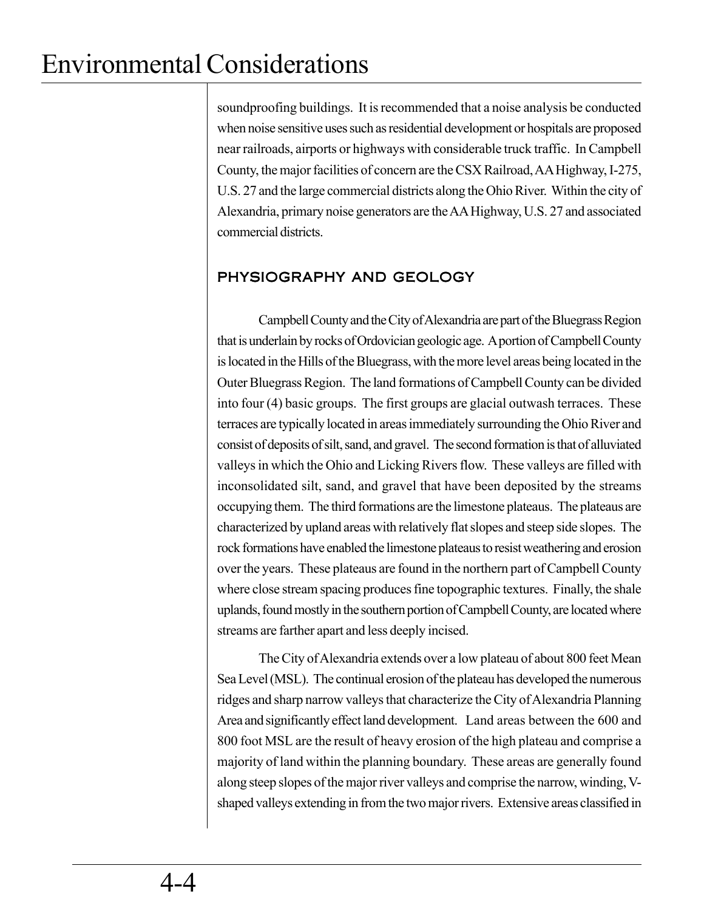soundproofing buildings. It is recommended that a noise analysis be conducted when noise sensitive uses such as residential development or hospitals are proposed near railroads, airports or highways with considerable truck traffic. In Campbell County, the major facilities of concern are the CSX Railroad, AA Highway, I-275, U.S. 27 and the large commercial districts along the Ohio River. Within the city of Alexandria, primary noise generators are the AA Highway, U.S. 27 and associated commercial districts.

## PHYSIOGRAPHY AND GEOLOGY

Campbell County and the City of Alexandria are part of the Bluegrass Region that is underlain by rocks of Ordovician geologic age. A portion of Campbell County is located in the Hills of the Bluegrass, with the more level areas being located in the Outer Bluegrass Region. The land formations of Campbell County can be divided into four (4) basic groups. The first groups are glacial outwash terraces. These terraces are typically located in areas immediately surrounding the Ohio River and consist of deposits of silt, sand, and gravel. The second formation is that of alluviated valleys in which the Ohio and Licking Rivers flow. These valleys are filled with inconsolidated silt, sand, and gravel that have been deposited by the streams occupying them. The third formations are the limestone plateaus. The plateaus are characterized by upland areas with relatively flat slopes and steep side slopes. The rock formations have enabled the limestone plateaus to resist weathering and erosion over the years. These plateaus are found in the northern part of Campbell County where close stream spacing produces fine topographic textures. Finally, the shale uplands, found mostly in the southern portion of Campbell County, are located where streams are farther apart and less deeply incised.

The City of Alexandria extends over a low plateau of about 800 feet Mean Sea Level (MSL). The continual erosion of the plateau has developed the numerous ridges and sharp narrow valleys that characterize the City of Alexandria Planning Area and significantly effect land development. Land areas between the 600 and 800 foot MSL are the result of heavy erosion of the high plateau and comprise a majority of land within the planning boundary. These areas are generally found along steep slopes of the major river valleys and comprise the narrow, winding, Vshaped valleys extending in from the two major rivers. Extensive areas classified in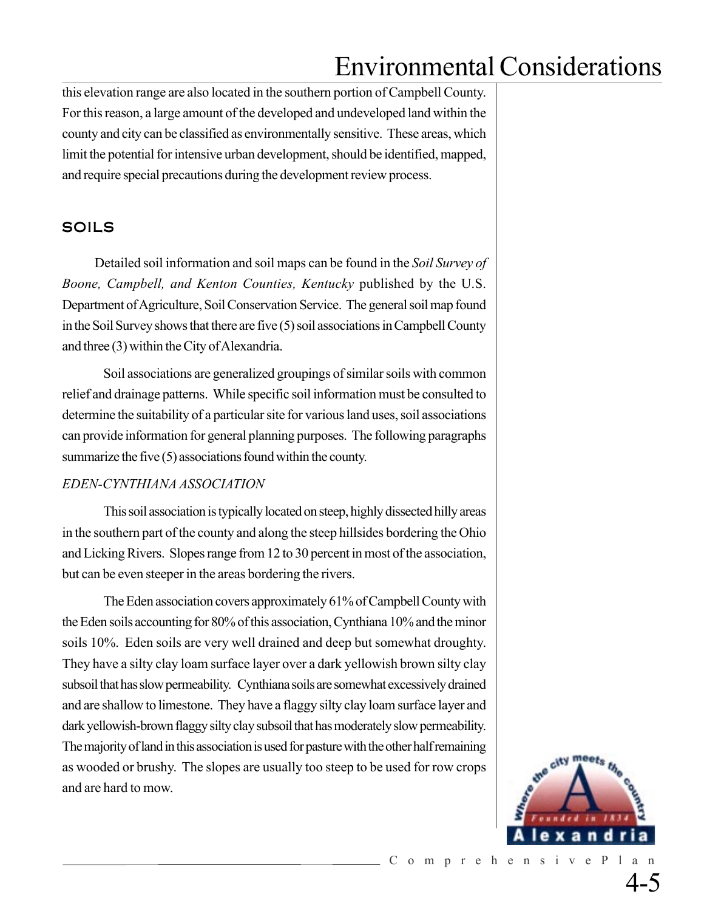this elevation range are also located in the southern portion of Campbell County. For this reason, a large amount of the developed and undeveloped land within the county and city can be classified as environmentally sensitive. These areas, which limit the potential for intensive urban development, should be identified, mapped, and require special precautions during the development review process.

## SOILS

 Detailed soil information and soil maps can be found in the *Soil Survey of Boone, Campbell, and Kenton Counties, Kentucky* published by the U.S. Department of Agriculture, Soil Conservation Service. The general soil map found in the Soil Survey shows that there are five (5) soil associations in Campbell County and three (3) within the City of Alexandria.

Soil associations are generalized groupings of similar soils with common relief and drainage patterns. While specific soil information must be consulted to determine the suitability of a particular site for various land uses, soil associations can provide information for general planning purposes. The following paragraphs summarize the five (5) associations found within the county.

### *EDEN-CYNTHIANA ASSOCIATION*

This soil association is typically located on steep, highly dissected hilly areas in the southern part of the county and along the steep hillsides bordering the Ohio and Licking Rivers. Slopes range from 12 to 30 percent in most of the association, but can be even steeper in the areas bordering the rivers.

The Eden association covers approximately 61% of Campbell County with the Eden soils accounting for 80% of this association, Cynthiana 10% and the minor soils 10%. Eden soils are very well drained and deep but somewhat droughty. They have a silty clay loam surface layer over a dark yellowish brown silty clay subsoil that has slow permeability. Cynthiana soils are somewhat excessively drained and are shallow to limestone. They have a flaggy silty clay loam surface layer and dark yellowish-brown flaggy silty clay subsoil that has moderately slow permeability. The majority of land in this association is used for pasture with the other half remaining as wooded or brushy. The slopes are usually too steep to be used for row crops and are hard to mow.

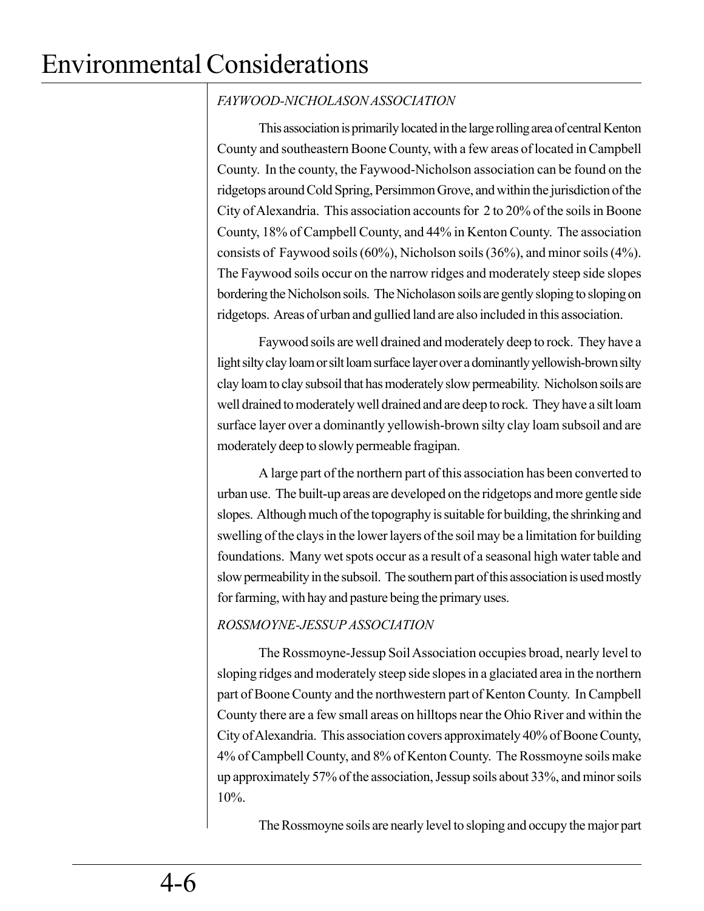## *FAYWOOD-NICHOLASON ASSOCIATION*

This association is primarily located in the large rolling area of central Kenton County and southeastern Boone County, with a few areas of located in Campbell County. In the county, the Faywood-Nicholson association can be found on the ridgetops around Cold Spring, Persimmon Grove, and within the jurisdiction of the City of Alexandria. This association accounts for 2 to 20% of the soils in Boone County, 18% of Campbell County, and 44% in Kenton County. The association consists of Faywood soils (60%), Nicholson soils (36%), and minor soils (4%). The Faywood soils occur on the narrow ridges and moderately steep side slopes bordering the Nicholson soils. The Nicholason soils are gently sloping to sloping on ridgetops. Areas of urban and gullied land are also included in this association.

Faywood soils are well drained and moderately deep to rock. They have a light silty clay loam or silt loam surface layer over a dominantly yellowish-brown silty clay loam to clay subsoil that has moderately slow permeability. Nicholson soils are well drained to moderately well drained and are deep to rock. They have a silt loam surface layer over a dominantly yellowish-brown silty clay loam subsoil and are moderately deep to slowly permeable fragipan.

A large part of the northern part of this association has been converted to urban use. The built-up areas are developed on the ridgetops and more gentle side slopes. Although much of the topography is suitable for building, the shrinking and swelling of the clays in the lower layers of the soil may be a limitation for building foundations. Many wet spots occur as a result of a seasonal high water table and slow permeability in the subsoil. The southern part of this association is used mostly for farming, with hay and pasture being the primary uses.

## *ROSSMOYNE-JESSUP ASSOCIATION*

The Rossmoyne-Jessup Soil Association occupies broad, nearly level to sloping ridges and moderately steep side slopes in a glaciated area in the northern part of Boone County and the northwestern part of Kenton County. In Campbell County there are a few small areas on hilltops near the Ohio River and within the City of Alexandria. This association covers approximately 40% of Boone County, 4% of Campbell County, and 8% of Kenton County. The Rossmoyne soils make up approximately 57% of the association, Jessup soils about 33%, and minor soils 10%.

The Rossmoyne soils are nearly level to sloping and occupy the major part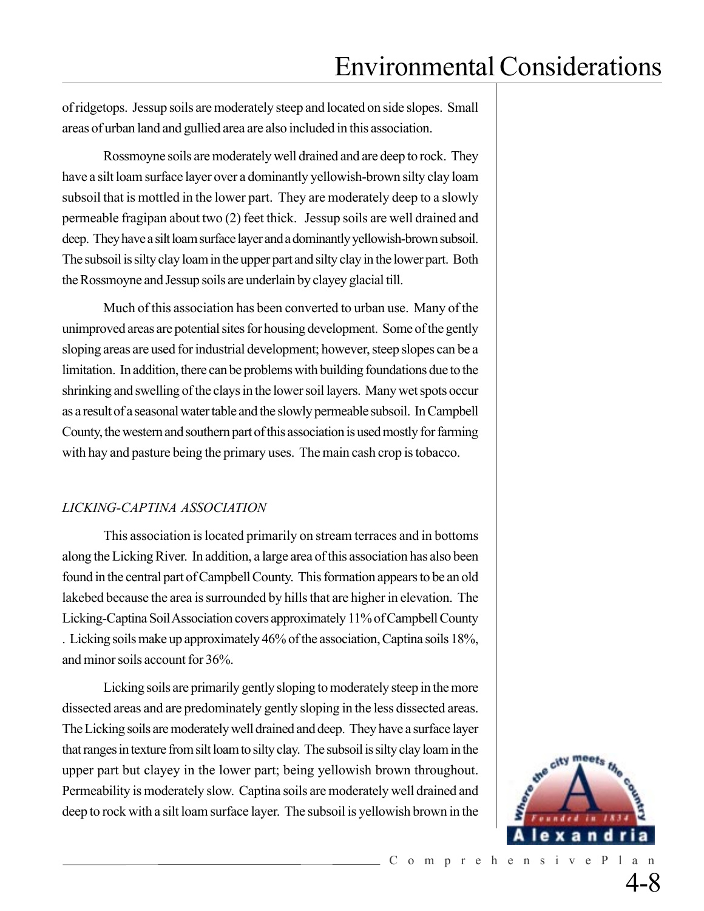of ridgetops. Jessup soils are moderately steep and located on side slopes. Small areas of urban land and gullied area are also included in this association.

Rossmoyne soils are moderately well drained and are deep to rock. They have a silt loam surface layer over a dominantly yellowish-brown silty clay loam subsoil that is mottled in the lower part. They are moderately deep to a slowly permeable fragipan about two (2) feet thick. Jessup soils are well drained and deep. They have a silt loam surface layer and a dominantly yellowish-brown subsoil. The subsoil is silty clay loam in the upper part and silty clay in the lower part. Both the Rossmoyne and Jessup soils are underlain by clayey glacial till.

Much of this association has been converted to urban use. Many of the unimproved areas are potential sites for housing development. Some of the gently sloping areas are used for industrial development; however, steep slopes can be a limitation. In addition, there can be problems with building foundations due to the shrinking and swelling of the clays in the lower soil layers. Many wet spots occur as a result of a seasonal water table and the slowly permeable subsoil. In Campbell County, the western and southern part of this association is used mostly for farming with hay and pasture being the primary uses. The main cash crop is tobacco.

### *LICKING-CAPTINA ASSOCIATION*

This association is located primarily on stream terraces and in bottoms along the Licking River. In addition, a large area of this association has also been found in the central part of Campbell County. This formation appears to be an old lakebed because the area is surrounded by hills that are higher in elevation. The Licking-Captina Soil Association covers approximately 11% of Campbell County . Licking soils make up approximately 46% of the association, Captina soils 18%, and minor soils account for 36%.

Licking soils are primarily gently sloping to moderately steep in the more dissected areas and are predominately gently sloping in the less dissected areas. The Licking soils are moderately well drained and deep. They have a surface layer that ranges in texture from silt loam to silty clay. The subsoil is silty clay loam in the upper part but clayey in the lower part; being yellowish brown throughout. Permeability is moderately slow. Captina soils are moderately well drained and deep to rock with a silt loam surface layer. The subsoil is yellowish brown in the

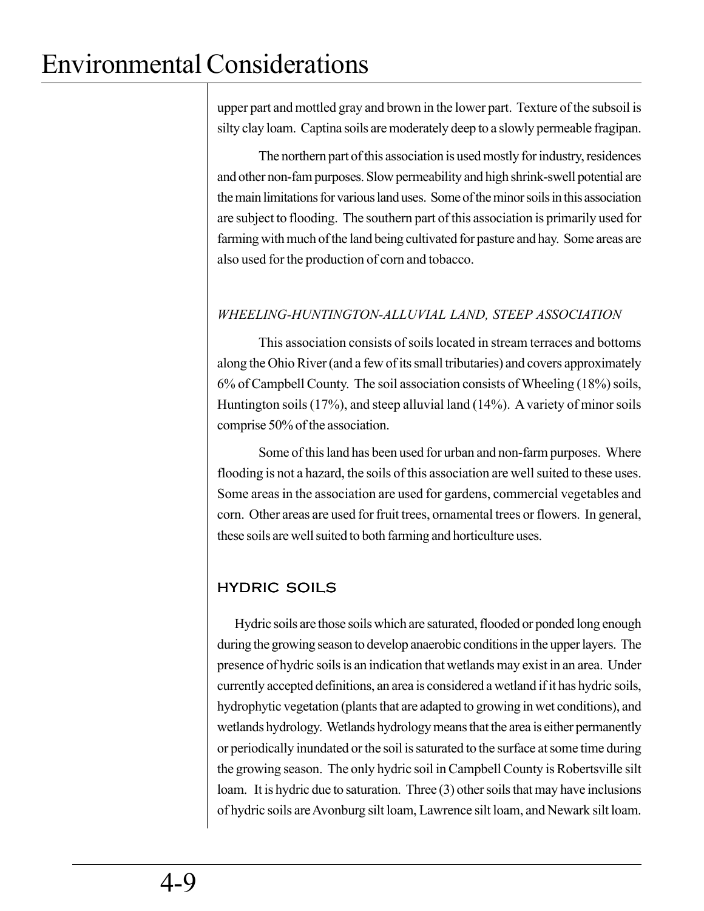upper part and mottled gray and brown in the lower part. Texture of the subsoil is silty clay loam. Captina soils are moderately deep to a slowly permeable fragipan.

The northern part of this association is used mostly for industry, residences and other non-fam purposes. Slow permeability and high shrink-swell potential are the main limitations for various land uses. Some of the minor soils in this association are subject to flooding. The southern part of this association is primarily used for farming with much of the land being cultivated for pasture and hay. Some areas are also used for the production of corn and tobacco.

## *WHEELING-HUNTINGTON-ALLUVIAL LAND, STEEP ASSOCIATION*

This association consists of soils located in stream terraces and bottoms along the Ohio River (and a few of its small tributaries) and covers approximately 6% of Campbell County. The soil association consists of Wheeling (18%) soils, Huntington soils (17%), and steep alluvial land (14%). A variety of minor soils comprise 50% of the association.

Some of this land has been used for urban and non-farm purposes. Where flooding is not a hazard, the soils of this association are well suited to these uses. Some areas in the association are used for gardens, commercial vegetables and corn. Other areas are used for fruit trees, ornamental trees or flowers. In general, these soils are well suited to both farming and horticulture uses.

# HYDRIC SOILS

Hydric soils are those soils which are saturated, flooded or ponded long enough during the growing season to develop anaerobic conditions in the upper layers. The presence of hydric soils is an indication that wetlands may exist in an area. Under currently accepted definitions, an area is considered a wetland if it has hydric soils, hydrophytic vegetation (plants that are adapted to growing in wet conditions), and wetlands hydrology. Wetlands hydrology means that the area is either permanently or periodically inundated or the soil is saturated to the surface at some time during the growing season. The only hydric soil in Campbell County is Robertsville silt loam. It is hydric due to saturation. Three (3) other soils that may have inclusions of hydric soils are Avonburg silt loam, Lawrence silt loam, and Newark silt loam.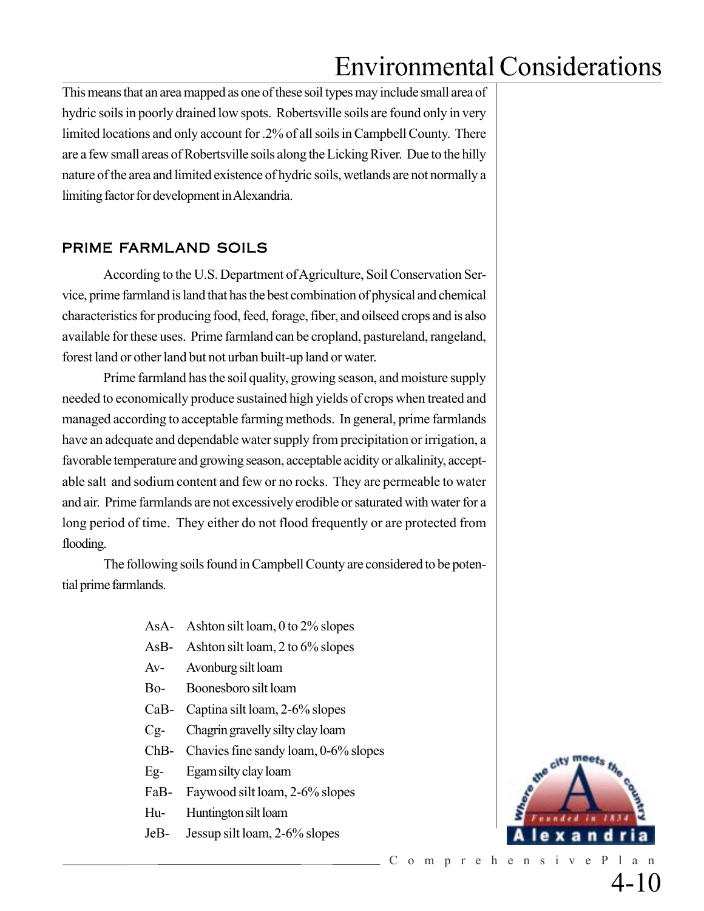This means that an area mapped as one of these soil types may include small area of hydric soils in poorly drained low spots. Robertsville soils are found only in very limited locations and only account for .2% of all soils in Campbell County. There are a few small areas of Robertsville soils along the Licking River. Due to the hilly nature of the area and limited existence of hydric soils, wetlands are not normally a limiting factor for development in Alexandria.

## PRIME FARMLAND SOILS

According to the U.S. Department of Agriculture, Soil Conservation Service, prime farmland is land that has the best combination of physical and chemical characteristics for producing food, feed, forage, fiber, and oilseed crops and is also available for these uses. Prime farmland can be cropland, pastureland, rangeland, forest land or other land but not urban built-up land or water.

Prime farmland has the soil quality, growing season, and moisture supply needed to economically produce sustained high yields of crops when treated and managed according to acceptable farming methods. In general, prime farmlands have an adequate and dependable water supply from precipitation or irrigation, a favorable temperature and growing season, acceptable acidity or alkalinity, acceptable salt and sodium content and few or no rocks. They are permeable to water and air. Prime farmlands are not excessively erodible or saturated with water for a long period of time. They either do not flood frequently or are protected from flooding.

The following soils found in Campbell County are considered to be potential prime farmlands.

- AsA- Ashton silt loam, 0 to 2% slopes
- AsB- Ashton silt loam, 2 to 6% slopes
- Av- Avonburg silt loam
- Bo- Boonesboro silt loam
- CaB- Captina silt loam, 2-6% slopes
- Cg- Chagrin gravelly silty clay loam
- ChB- Chavies fine sandy loam, 0-6% slopes
- Eg- Egam silty clay loam
- FaB- Faywood silt loam, 2-6% slopes
- Hu- Huntington silt loam
- JeB- Jessup silt loam, 2-6% slopes



4-10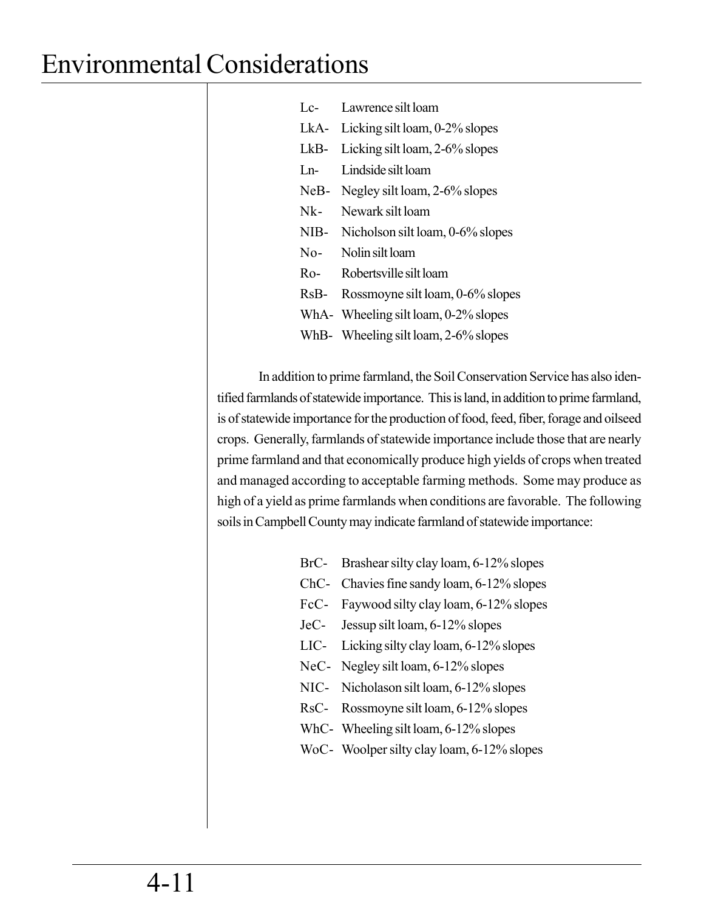| Lc-   | Lawrence silt loam                   |
|-------|--------------------------------------|
| LkA-  | Licking silt loam, 0-2% slopes       |
| LkB-  | Licking silt loam, 2-6% slopes       |
| $Ln-$ | Lindside silt loam                   |
| NeB-  | Negley silt loam, 2-6% slopes        |
| Nk-   | Newark silt loam                     |
| NIB-  | Nicholson silt loam, 0-6% slopes     |
| $No-$ | Nolin silt loam                      |
| Ro-   | Robertsville silt loam               |
| RsB-  | Rossmoyne silt loam, 0-6% slopes     |
|       | WhA- Wheeling silt loam, 0-2% slopes |
|       | WhB- Wheeling silt loam, 2-6% slopes |

In addition to prime farmland, the Soil Conservation Service has also identified farmlands of statewide importance. This is land, in addition to prime farmland, is of statewide importance for the production of food, feed, fiber, forage and oilseed crops. Generally, farmlands of statewide importance include those that are nearly prime farmland and that economically produce high yields of crops when treated and managed according to acceptable farming methods. Some may produce as high of a yield as prime farmlands when conditions are favorable. The following soils in Campbell County may indicate farmland of statewide importance:

- BrC- Brashear silty clay loam, 6-12% slopes
- ChC- Chavies fine sandy loam, 6-12% slopes
- FcC- Faywood silty clay loam, 6-12% slopes
- JeC- Jessup silt loam, 6-12% slopes
- LIC- Licking silty clay loam, 6-12% slopes
- NeC- Negley silt loam, 6-12% slopes
- NIC- Nicholason silt loam, 6-12% slopes
- RsC- Rossmoyne silt loam, 6-12% slopes
- WhC- Wheeling silt loam, 6-12% slopes
- WoC- Woolper silty clay loam, 6-12% slopes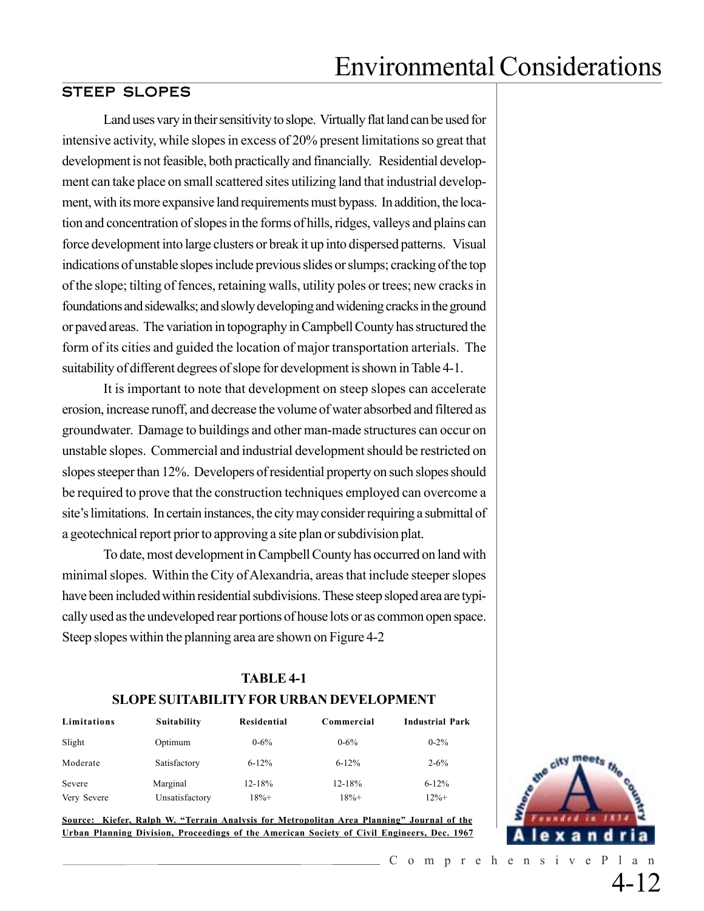## STEEP SLOPES

Land uses vary in their sensitivity to slope. Virtually flat land can be used for intensive activity, while slopes in excess of 20% present limitations so great that development is not feasible, both practically and financially. Residential development can take place on small scattered sites utilizing land that industrial development, with its more expansive land requirements must bypass. In addition, the location and concentration of slopes in the forms of hills, ridges, valleys and plains can force development into large clusters or break it up into dispersed patterns. Visual indications of unstable slopes include previous slides or slumps; cracking of the top of the slope; tilting of fences, retaining walls, utility poles or trees; new cracks in foundations and sidewalks; and slowly developing and widening cracks in the ground or paved areas. The variation in topography in Campbell County has structured the form of its cities and guided the location of major transportation arterials. The suitability of different degrees of slope for development is shown in Table 4-1.

It is important to note that development on steep slopes can accelerate erosion, increase runoff, and decrease the volume of water absorbed and filtered as groundwater. Damage to buildings and other man-made structures can occur on unstable slopes. Commercial and industrial development should be restricted on slopes steeper than 12%. Developers of residential property on such slopes should be required to prove that the construction techniques employed can overcome a site's limitations. In certain instances, the city may consider requiring a submittal of a geotechnical report prior to approving a site plan or subdivision plat.

To date, most development in Campbell County has occurred on land with minimal slopes. Within the City of Alexandria, areas that include steeper slopes have been included within residential subdivisions. These steep sloped area are typically used as the undeveloped rear portions of house lots or as common open space. Steep slopes within the planning area are shown on Figure 4-2

### **TABLE 4-1 SLOPE SUITABILITY FOR URBAN DEVELOPMENT**

| Limitations | <b>Suitability</b> | Residential | Commercial | <b>Industrial Park</b> |
|-------------|--------------------|-------------|------------|------------------------|
| Slight      | Optimum            | $0 - 6\%$   | $0 - 6\%$  | $0 - 2\%$              |
| Moderate    | Satisfactory       | $6 - 12%$   | $6 - 12%$  | $2 - 6\%$              |
| Severe      | Marginal           | $12 - 18%$  | $12 - 18%$ | $6 - 12%$              |
| Very Severe | Unsatisfactory     | 18%+        | $18% +$    | $12% +$                |

**Source: Kiefer, Ralph W. "Terrain Analysis for Metropolitan Area Planning" Journal of the Urban Planning Division, Proceedings of the American Society of Civil Engineers, Dec. 1967**



4-12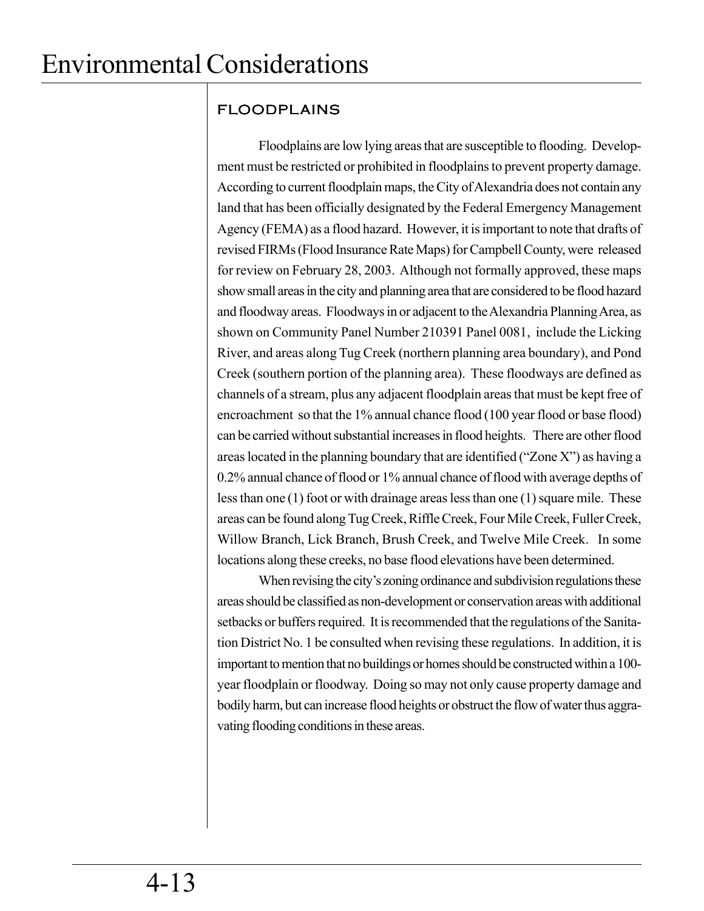# FLOODPLAINS

Floodplains are low lying areas that are susceptible to flooding. Development must be restricted or prohibited in floodplains to prevent property damage. According to current floodplain maps, the City of Alexandria does not contain any land that has been officially designated by the Federal Emergency Management Agency (FEMA) as a flood hazard. However, it is important to note that drafts of revised FIRMs (Flood Insurance Rate Maps) for Campbell County, were released for review on February 28, 2003. Although not formally approved, these maps show small areas in the city and planning area that are considered to be flood hazard and floodway areas. Floodways in or adjacent to the Alexandria Planning Area, as shown on Community Panel Number 210391 Panel 0081, include the Licking River, and areas along Tug Creek (northern planning area boundary), and Pond Creek (southern portion of the planning area). These floodways are defined as channels of a stream, plus any adjacent floodplain areas that must be kept free of encroachment so that the 1% annual chance flood (100 year flood or base flood) can be carried without substantial increases in flood heights. There are other flood areas located in the planning boundary that are identified ("Zone X") as having a 0.2% annual chance of flood or 1% annual chance of flood with average depths of less than one (1) foot or with drainage areas less than one (1) square mile. These areas can be found along Tug Creek, Riffle Creek, Four Mile Creek, Fuller Creek, Willow Branch, Lick Branch, Brush Creek, and Twelve Mile Creek. In some locations along these creeks, no base flood elevations have been determined.

When revising the city's zoning ordinance and subdivision regulations these areas should be classified as non-development or conservation areas with additional setbacks or buffers required. It is recommended that the regulations of the Sanitation District No. 1 be consulted when revising these regulations. In addition, it is important to mention that no buildings or homes should be constructed within a 100 year floodplain or floodway. Doing so may not only cause property damage and bodily harm, but can increase flood heights or obstruct the flow of water thus aggravating flooding conditions in these areas.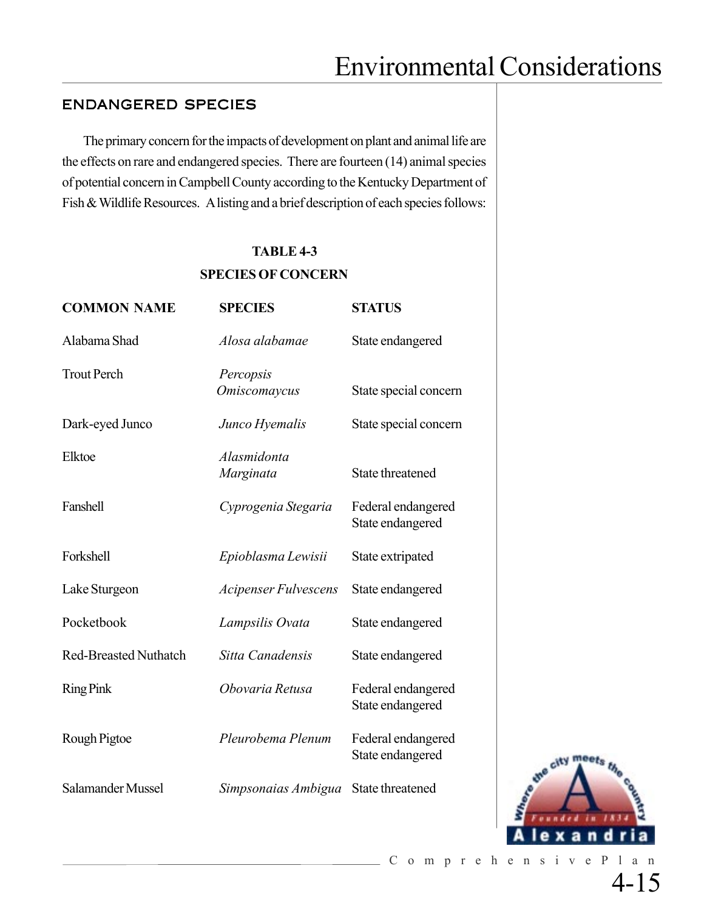### ENDANGERED SPECIES

The primary concern for the impacts of development on plant and animal life are the effects on rare and endangered species. There are fourteen (14) animal species of potential concern in Campbell County according to the Kentucky Department of Fish & Wildlife Resources. A listing and a brief description of each species follows:

### **TABLE 4-3**

#### **SPECIES OF CONCERN**

| <b>COMMON NAME</b>           | <b>SPECIES</b>                   | <b>STATUS</b>                          |
|------------------------------|----------------------------------|----------------------------------------|
| Alabama Shad                 | Alosa alabamae                   | State endangered                       |
| <b>Trout Perch</b>           | Percopsis<br><b>Omiscomaycus</b> | State special concern                  |
| Dark-eyed Junco              | Junco Hyemalis                   | State special concern                  |
| Elktoe                       | Alasmidonta<br>Marginata         | State threatened                       |
| Fanshell                     | Cyprogenia Stegaria              | Federal endangered<br>State endangered |
| Forkshell                    | Epioblasma Lewisii               | State extripated                       |
| Lake Sturgeon                | <b>Acipenser Fulvescens</b>      | State endangered                       |
| Pocketbook                   | Lampsilis Ovata                  | State endangered                       |
| <b>Red-Breasted Nuthatch</b> | Sitta Canadensis                 | State endangered                       |
| <b>Ring Pink</b>             | Obovaria Retusa                  | Federal endangered<br>State endangered |
| Rough Pigtoe                 | Pleurobema Plenum                | Federal endangered<br>State endangered |
| Salamander Mussel            | Simpsonaias Ambigua              | State threatened                       |